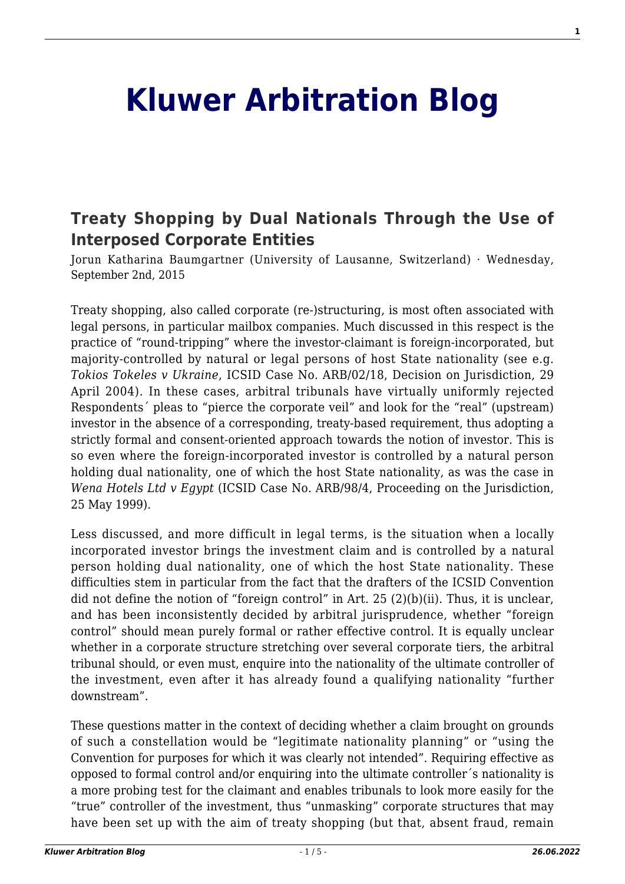# **[Kluwer Arbitration Blog](http://arbitrationblog.kluwerarbitration.com/)**

## **[Treaty Shopping by Dual Nationals Through the Use of](http://arbitrationblog.kluwerarbitration.com/2015/09/02/treaty-shopping-by-dual-nationals-through-the-use-of-interposed-corporate-entities/) [Interposed Corporate Entities](http://arbitrationblog.kluwerarbitration.com/2015/09/02/treaty-shopping-by-dual-nationals-through-the-use-of-interposed-corporate-entities/)**

Jorun Katharina Baumgartner (University of Lausanne, Switzerland) · Wednesday, September 2nd, 2015

Treaty shopping, also called corporate (re-)structuring, is most often associated with legal persons, in particular mailbox companies. Much discussed in this respect is the practice of "round-tripping" where the investor-claimant is foreign-incorporated, but majority-controlled by natural or legal persons of host State nationality (see e.g. *Tokios Tokeles v Ukraine*, ICSID Case No. ARB/02/18, Decision on Jurisdiction, 29 April 2004). In these cases, arbitral tribunals have virtually uniformly rejected Respondents´ pleas to "pierce the corporate veil" and look for the "real" (upstream) investor in the absence of a corresponding, treaty-based requirement, thus adopting a strictly formal and consent-oriented approach towards the notion of investor. This is so even where the foreign-incorporated investor is controlled by a natural person holding dual nationality, one of which the host State nationality, as was the case in *Wena Hotels Ltd v Egypt* (ICSID Case No. ARB/98/4, Proceeding on the Jurisdiction, 25 May 1999).

Less discussed, and more difficult in legal terms, is the situation when a locally incorporated investor brings the investment claim and is controlled by a natural person holding dual nationality, one of which the host State nationality. These difficulties stem in particular from the fact that the drafters of the ICSID Convention did not define the notion of "foreign control" in Art. 25 (2)(b)(ii). Thus, it is unclear, and has been inconsistently decided by arbitral jurisprudence, whether "foreign control" should mean purely formal or rather effective control. It is equally unclear whether in a corporate structure stretching over several corporate tiers, the arbitral tribunal should, or even must, enquire into the nationality of the ultimate controller of the investment, even after it has already found a qualifying nationality "further downstream".

These questions matter in the context of deciding whether a claim brought on grounds of such a constellation would be "legitimate nationality planning" or "using the Convention for purposes for which it was clearly not intended". Requiring effective as opposed to formal control and/or enquiring into the ultimate controller´s nationality is a more probing test for the claimant and enables tribunals to look more easily for the "true" controller of the investment, thus "unmasking" corporate structures that may have been set up with the aim of treaty shopping (but that, absent fraud, remain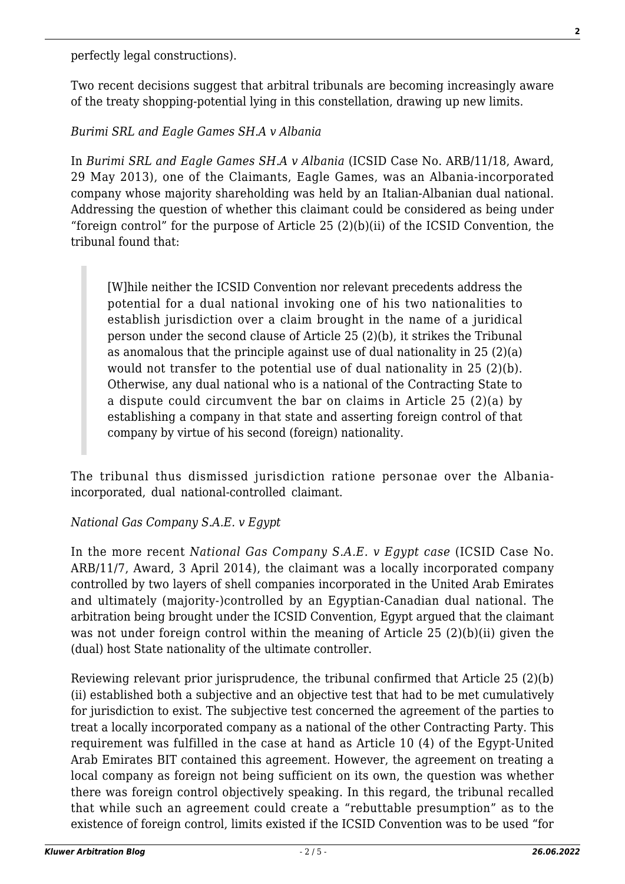perfectly legal constructions).

Two recent decisions suggest that arbitral tribunals are becoming increasingly aware of the treaty shopping-potential lying in this constellation, drawing up new limits.

### *Burimi SRL and Eagle Games SH.A v Albania*

In *Burimi SRL and Eagle Games SH.A v Albania* (ICSID Case No. ARB/11/18, Award, 29 May 2013), one of the Claimants, Eagle Games, was an Albania-incorporated company whose majority shareholding was held by an Italian-Albanian dual national. Addressing the question of whether this claimant could be considered as being under "foreign control" for the purpose of Article  $25 (2)(b)(ii)$  of the ICSID Convention, the tribunal found that:

[W]hile neither the ICSID Convention nor relevant precedents address the potential for a dual national invoking one of his two nationalities to establish jurisdiction over a claim brought in the name of a juridical person under the second clause of Article 25 (2)(b), it strikes the Tribunal as anomalous that the principle against use of dual nationality in 25 (2)(a) would not transfer to the potential use of dual nationality in 25 (2)(b). Otherwise, any dual national who is a national of the Contracting State to a dispute could circumvent the bar on claims in Article 25 (2)(a) by establishing a company in that state and asserting foreign control of that company by virtue of his second (foreign) nationality.

The tribunal thus dismissed jurisdiction ratione personae over the Albaniaincorporated, dual national-controlled claimant.

#### *National Gas Company S.A.E. v Egypt*

In the more recent *National Gas Company S.A.E. v Egypt case* (ICSID Case No. ARB/11/7, Award, 3 April 2014), the claimant was a locally incorporated company controlled by two layers of shell companies incorporated in the United Arab Emirates and ultimately (majority-)controlled by an Egyptian-Canadian dual national. The arbitration being brought under the ICSID Convention, Egypt argued that the claimant was not under foreign control within the meaning of Article 25 (2)(b)(ii) given the (dual) host State nationality of the ultimate controller.

Reviewing relevant prior jurisprudence, the tribunal confirmed that Article 25 (2)(b) (ii) established both a subjective and an objective test that had to be met cumulatively for jurisdiction to exist. The subjective test concerned the agreement of the parties to treat a locally incorporated company as a national of the other Contracting Party. This requirement was fulfilled in the case at hand as Article 10 (4) of the Egypt-United Arab Emirates BIT contained this agreement. However, the agreement on treating a local company as foreign not being sufficient on its own, the question was whether there was foreign control objectively speaking. In this regard, the tribunal recalled that while such an agreement could create a "rebuttable presumption" as to the existence of foreign control, limits existed if the ICSID Convention was to be used "for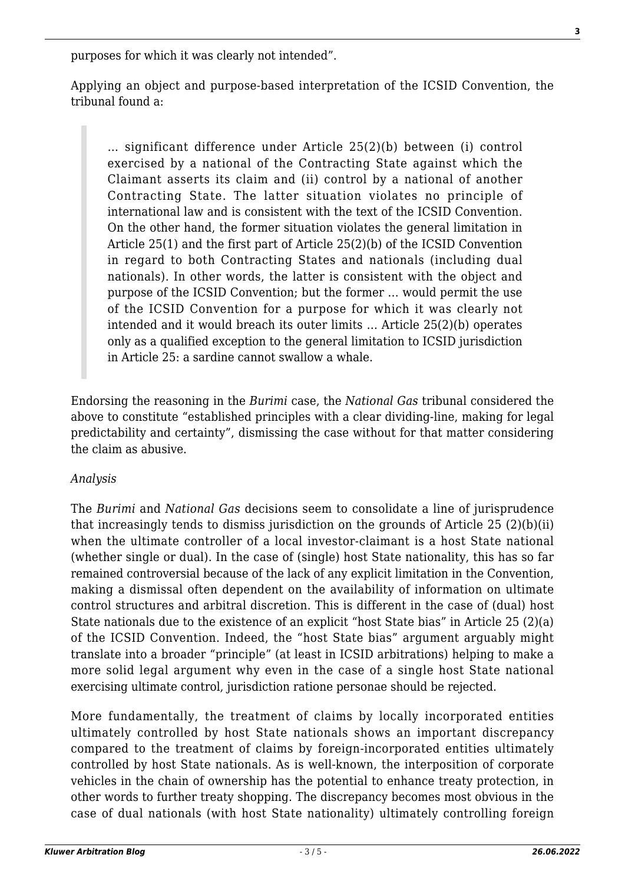purposes for which it was clearly not intended".

Applying an object and purpose-based interpretation of the ICSID Convention, the tribunal found a:

… significant difference under Article 25(2)(b) between (i) control exercised by a national of the Contracting State against which the Claimant asserts its claim and (ii) control by a national of another Contracting State. The latter situation violates no principle of international law and is consistent with the text of the ICSID Convention. On the other hand, the former situation violates the general limitation in Article 25(1) and the first part of Article 25(2)(b) of the ICSID Convention in regard to both Contracting States and nationals (including dual nationals). In other words, the latter is consistent with the object and purpose of the ICSID Convention; but the former … would permit the use of the ICSID Convention for a purpose for which it was clearly not intended and it would breach its outer limits … Article 25(2)(b) operates only as a qualified exception to the general limitation to ICSID jurisdiction in Article 25: a sardine cannot swallow a whale.

Endorsing the reasoning in the *Burimi* case, the *National Gas* tribunal considered the above to constitute "established principles with a clear dividing-line, making for legal predictability and certainty", dismissing the case without for that matter considering the claim as abusive.

#### *Analysis*

The *Burimi* and *National Gas* decisions seem to consolidate a line of jurisprudence that increasingly tends to dismiss jurisdiction on the grounds of Article 25 (2)(b)(ii) when the ultimate controller of a local investor-claimant is a host State national (whether single or dual). In the case of (single) host State nationality, this has so far remained controversial because of the lack of any explicit limitation in the Convention, making a dismissal often dependent on the availability of information on ultimate control structures and arbitral discretion. This is different in the case of (dual) host State nationals due to the existence of an explicit "host State bias" in Article 25 (2)(a) of the ICSID Convention. Indeed, the "host State bias" argument arguably might translate into a broader "principle" (at least in ICSID arbitrations) helping to make a more solid legal argument why even in the case of a single host State national exercising ultimate control, jurisdiction ratione personae should be rejected.

More fundamentally, the treatment of claims by locally incorporated entities ultimately controlled by host State nationals shows an important discrepancy compared to the treatment of claims by foreign-incorporated entities ultimately controlled by host State nationals. As is well-known, the interposition of corporate vehicles in the chain of ownership has the potential to enhance treaty protection, in other words to further treaty shopping. The discrepancy becomes most obvious in the case of dual nationals (with host State nationality) ultimately controlling foreign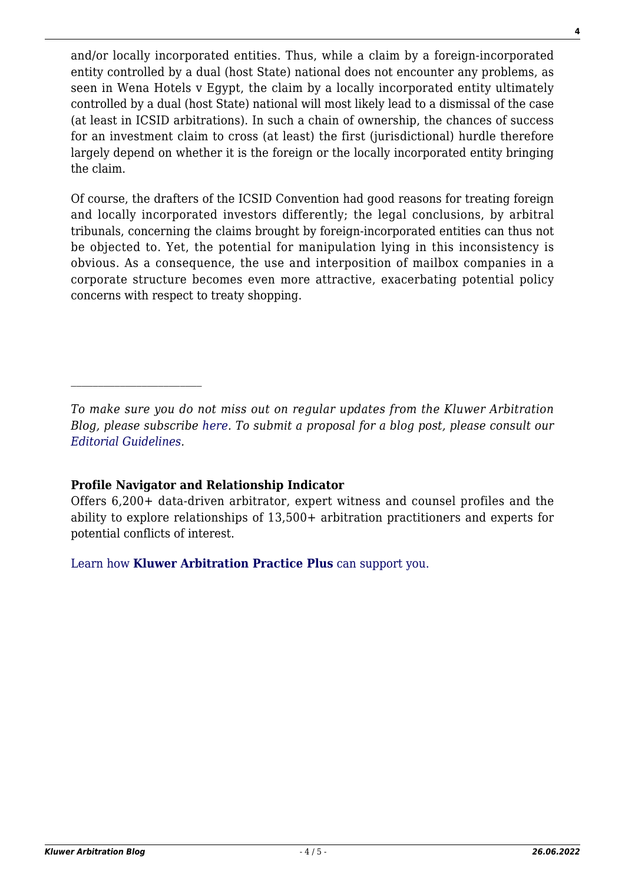and/or locally incorporated entities. Thus, while a claim by a foreign-incorporated entity controlled by a dual (host State) national does not encounter any problems, as seen in Wena Hotels v Egypt, the claim by a locally incorporated entity ultimately controlled by a dual (host State) national will most likely lead to a dismissal of the case (at least in ICSID arbitrations). In such a chain of ownership, the chances of success for an investment claim to cross (at least) the first (jurisdictional) hurdle therefore largely depend on whether it is the foreign or the locally incorporated entity bringing the claim.

Of course, the drafters of the ICSID Convention had good reasons for treating foreign and locally incorporated investors differently; the legal conclusions, by arbitral tribunals, concerning the claims brought by foreign-incorporated entities can thus not be objected to. Yet, the potential for manipulation lying in this inconsistency is obvious. As a consequence, the use and interposition of mailbox companies in a corporate structure becomes even more attractive, exacerbating potential policy concerns with respect to treaty shopping.

#### **Profile Navigator and Relationship Indicator**

[Learn how](https://www.wolterskluwer.com/en/solutions/kluwerarbitration/practiceplus?utm_source=arbitrationblog&utm_medium=articleCTA&utm_campaign=article-banner) **[Kluwer Arbitration Practice Plus](https://www.wolterskluwer.com/en/solutions/kluwerarbitration/practiceplus?utm_source=arbitrationblog&utm_medium=articleCTA&utm_campaign=article-banner)** [can support you.](https://www.wolterskluwer.com/en/solutions/kluwerarbitration/practiceplus?utm_source=arbitrationblog&utm_medium=articleCTA&utm_campaign=article-banner)

*To make sure you do not miss out on regular updates from the Kluwer Arbitration Blog, please subscribe [here](http://arbitrationblog.kluwerarbitration.com/newsletter/). To submit a proposal for a blog post, please consult our [Editorial Guidelines.](http://arbitrationblog.kluwerarbitration.com/editorial-guidelines/)*

Offers 6,200+ data-driven arbitrator, expert witness and counsel profiles and the ability to explore relationships of 13,500+ arbitration practitioners and experts for potential conflicts of interest.